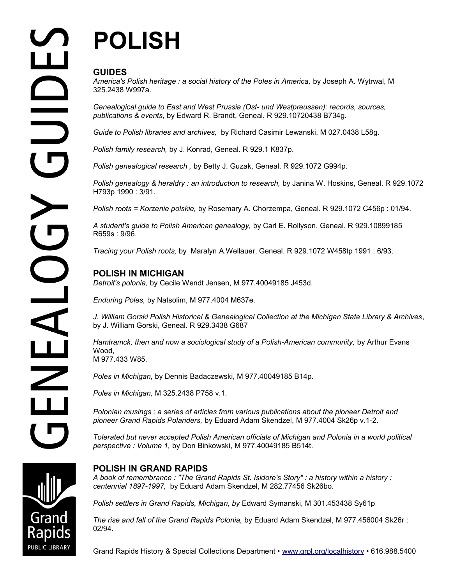# **POLISH**

# **GUIDES**

America's Polish heritage : a social history of the Poles in America, by Joseph A. Wytrwal, M 325.2438 W997a.

*Genealogical guide to East and West Prussia (Ost- und Westpreussen): records, sources, publications & events,* by Edward R. Brandt, Geneal. R 929.10720438 B734g.

*Guide to Polish libraries and archives,* by Richard Casimir Lewanski, M 027.0438 L58g.

*Polish family research,* by J. Konrad, Geneal. R 929.1 K837p.

*Polish genealogical research ,* by Betty J. Guzak, Geneal. R 929.1072 G994p.

*Polish genealogy & heraldry : an introduction to research, by Janina W. Hoskins, Geneal. R 929.1072* H793p 1990 : 3/91.

*Polish roots = Korzenie polskie,* by Rosemary A. Chorzempa, Geneal. R 929.1072 C456p : 01/94.

*A student's guide to Polish American genealogy,* by Carl E. Rollyson, Geneal. R 929.10899185 R659s : 9/96.

*Tracing your Polish roots,* by Maralyn A.Wellauer, Geneal. R 929.1072 W458tp 1991 : 6/93.

# **POLISH IN MICHIGAN**

*Detroit's polonia,* by Cecile Wendt Jensen, M 977.40049185 J453d.

*Enduring Poles,* by Natsolim, M 977.4004 M637e.

*J. William Gorski Polish Historical & Genealogical Collection at the Michigan State Library & Archives*, by J. William Gorski, Geneal. R 929.3438 G687

Hamtramck, then and now a sociological study of a Polish-American community, by Arthur Evans Wood, M 977.433 W85.

*Poles in Michigan,* by Dennis Badaczewski, M 977.40049185 B14p.

*Poles in Michigan,* M 325.2438 P758 v.1.

*Polonian musings : a series of articles from various publications about the pioneer Detroit and pioneer Grand Rapids Polanders,* by Eduard Adam Skendzel, M 977.4004 Sk26p v.1-2.

*Tolerated but never accepted Polish American officials of Michigan and Polonia in a world political perspective : Volume 1,* by Don Binkowski, M 977.40049185 B514t.

# **POLISH IN GRAND RAPIDS**

*A book of remembrance : "The Grand Rapids St. Isidore's Story" : a history within a history : centennial 1897-1997,* by Eduard Adam Skendzel, M 282.77456 Sk26bo.

*Polish settlers in Grand Rapids, Michigan, by* Edward Symanski, M 301.453438 Sy61p

*The rise and fall of the Grand Rapids Polonia,* by Eduard Adam Skendzel, M 977.456004 Sk26r : 02/94.

Grand Rapids History & Special Collections Department • [www.grpl.org/localhistory](http://www.grpl.org/localhistory) • 616.988.5400